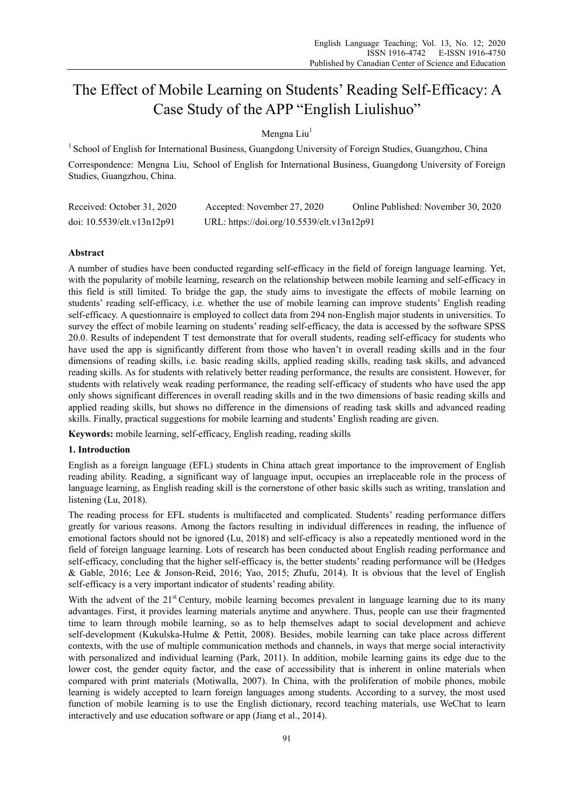# The Effect of Mobile Learning on Students' Reading Self-Efficacy: A Case Study of the APP "English Liulishuo"

# Mengna Liu<sup>1</sup>

<sup>1</sup> School of English for International Business, Guangdong University of Foreign Studies, Guangzhou, China Correspondence: Mengna Liu, School of English for International Business, Guangdong University of Foreign Studies, Guangzhou, China.

| Received: October 31, 2020 | Accepted: November 27, 2020                | Online Published: November 30, 2020 |
|----------------------------|--------------------------------------------|-------------------------------------|
| doi: 10.5539/elt.v13n12p91 | URL: https://doi.org/10.5539/elt.v13n12p91 |                                     |

# **Abstract**

A number of studies have been conducted regarding self-efficacy in the field of foreign language learning. Yet, with the popularity of mobile learning, research on the relationship between mobile learning and self-efficacy in this field is still limited. To bridge the gap, the study aims to investigate the effects of mobile learning on students' reading self-efficacy, i.e. whether the use of mobile learning can improve students' English reading self-efficacy. A questionnaire is employed to collect data from 294 non-English major students in universities. To survey the effect of mobile learning on students' reading self-efficacy, the data is accessed by the software SPSS 20.0. Results of independent T test demonstrate that for overall students, reading self-efficacy for students who have used the app is significantly different from those who haven't in overall reading skills and in the four dimensions of reading skills, i.e. basic reading skills, applied reading skills, reading task skills, and advanced reading skills. As for students with relatively better reading performance, the results are consistent. However, for students with relatively weak reading performance, the reading self-efficacy of students who have used the app only shows significant differences in overall reading skills and in the two dimensions of basic reading skills and applied reading skills, but shows no difference in the dimensions of reading task skills and advanced reading skills. Finally, practical suggestions for mobile learning and students' English reading are given.

**Keywords:** mobile learning, self-efficacy, English reading, reading skills

# **1. Introduction**

English as a foreign language (EFL) students in China attach great importance to the improvement of English reading ability. Reading, a significant way of language input, occupies an irreplaceable role in the process of language learning, as English reading skill is the cornerstone of other basic skills such as writing, translation and listening (Lu, 2018).

The reading process for EFL students is multifaceted and complicated. Students' reading performance differs greatly for various reasons. Among the factors resulting in individual differences in reading, the influence of emotional factors should not be ignored (Lu, 2018) and self-efficacy is also a repeatedly mentioned word in the field of foreign language learning. Lots of research has been conducted about English reading performance and self-efficacy, concluding that the higher self-efficacy is, the better students' reading performance will be (Hedges & Gable, 2016; Lee & Jonson-Reid, 2016; Yao, 2015; Zhufu, 2014). It is obvious that the level of English self-efficacy is a very important indicator of students' reading ability.

With the advent of the  $21<sup>st</sup>$  Century, mobile learning becomes prevalent in language learning due to its many advantages. First, it provides learning materials anytime and anywhere. Thus, people can use their fragmented time to learn through mobile learning, so as to help themselves adapt to social development and achieve self-development (Kukulska-Hulme & Pettit, 2008). Besides, mobile learning can take place across different contexts, with the use of multiple communication methods and channels, in ways that merge social interactivity with personalized and individual learning (Park, 2011). In addition, mobile learning gains its edge due to the lower cost, the gender equity factor, and the ease of accessibility that is inherent in online materials when compared with print materials (Motiwalla, 2007). In China, with the proliferation of mobile phones, mobile learning is widely accepted to learn foreign languages among students. According to a survey, the most used function of mobile learning is to use the English dictionary, record teaching materials, use WeChat to learn interactively and use education software or app (Jiang et al., 2014).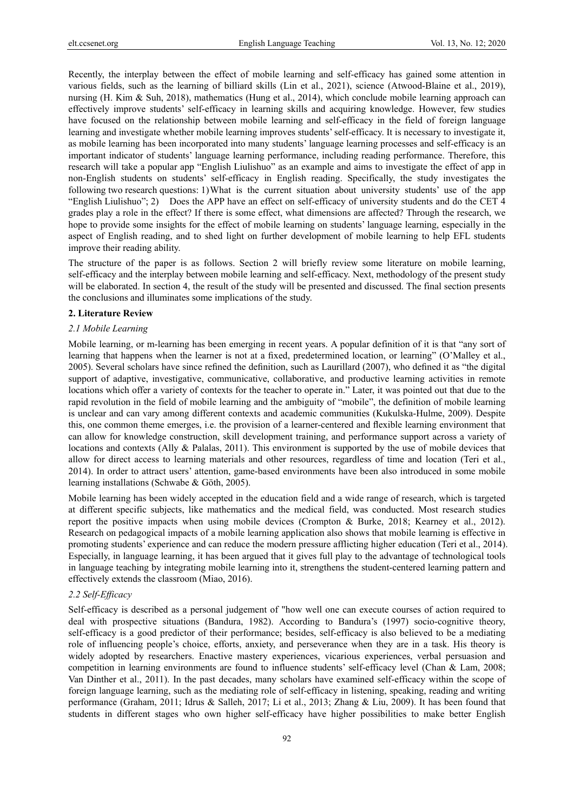Recently, the interplay between the effect of mobile learning and self-efficacy has gained some attention in various fields, such as the learning of billiard skills (Lin et al., 2021), science (Atwood-Blaine et al., 2019), nursing (H. Kim & Suh, 2018), mathematics (Hung et al., 2014), which conclude mobile learning approach can effectively improve students' self-efficacy in learning skills and acquiring knowledge. However, few studies have focused on the relationship between mobile learning and self-efficacy in the field of foreign language learning and investigate whether mobile learning improves students' self-efficacy. It is necessary to investigate it, as mobile learning has been incorporated into many students' language learning processes and self-efficacy is an important indicator of students' language learning performance, including reading performance. Therefore, this research will take a popular app "English Liulishuo" as an example and aims to investigate the effect of app in non-English students on students' self-efficacy in English reading. Specifically, the study investigates the following two research questions: 1) What is the current situation about university students' use of the app "English Liulishuo"; 2) Does the APP have an effect on self-efficacy of university students and do the CET 4 grades play a role in the effect? If there is some effect, what dimensions are affected? Through the research, we hope to provide some insights for the effect of mobile learning on students' language learning, especially in the aspect of English reading, and to shed light on further development of mobile learning to help EFL students improve their reading ability.

The structure of the paper is as follows. Section 2 will briefly review some literature on mobile learning, self-efficacy and the interplay between mobile learning and self-efficacy. Next, methodology of the present study will be elaborated. In section 4, the result of the study will be presented and discussed. The final section presents the conclusions and illuminates some implications of the study.

#### **2. Literature Review**

#### *2.1 Mobile Learning*

Mobile learning, or m-learning has been emerging in recent years. A popular definition of it is that "any sort of learning that happens when the learner is not at a fixed, predetermined location, or learning" (O'Malley et al., 2005). Several scholars have since refined the definition, such as Laurillard (2007), who defined it as "the digital support of adaptive, investigative, communicative, collaborative, and productive learning activities in remote locations which offer a variety of contexts for the teacher to operate in." Later, it was pointed out that due to the rapid revolution in the field of mobile learning and the ambiguity of "mobile", the definition of mobile learning is unclear and can vary among different contexts and academic communities (Kukulska-Hulme, 2009). Despite this, one common theme emerges, i.e. the provision of a learner-centered and flexible learning environment that can allow for knowledge construction, skill development training, and performance support across a variety of locations and contexts (Ally & Palalas, 2011). This environment is supported by the use of mobile devices that allow for direct access to learning materials and other resources, regardless of time and location (Teri et al., 2014). In order to attract users' attention, game-based environments have been also introduced in some mobile learning installations (Schwabe & Göth, 2005).

Mobile learning has been widely accepted in the education field and a wide range of research, which is targeted at different specific subjects, like mathematics and the medical field, was conducted. Most research studies report the positive impacts when using mobile devices (Crompton & Burke, 2018; Kearney et al., 2012). Research on pedagogical impacts of a mobile learning application also shows that mobile learning is effective in promoting students' experience and can reduce the modern pressure afflicting higher education (Teri et al., 2014). Especially, in language learning, it has been argued that it gives full play to the advantage of technological tools in language teaching by integrating mobile learning into it, strengthens the student-centered learning pattern and effectively extends the classroom (Miao, 2016).

# *2.2 Self-Efficacy*

Self-efficacy is described as a personal judgement of "how well one can execute courses of action required to deal with prospective situations (Bandura, 1982). According to Bandura's (1997) socio-cognitive theory, self-efficacy is a good predictor of their performance; besides, self-efficacy is also believed to be a mediating role of influencing people's choice, efforts, anxiety, and perseverance when they are in a task. His theory is widely adopted by researchers. Enactive mastery experiences, vicarious experiences, verbal persuasion and competition in learning environments are found to influence students' self-efficacy level (Chan & Lam, 2008; Van Dinther et al., 2011). In the past decades, many scholars have examined self-efficacy within the scope of foreign language learning, such as the mediating role of self-efficacy in listening, speaking, reading and writing performance (Graham, 2011; Idrus & Salleh, 2017; Li et al., 2013; Zhang & Liu, 2009). It has been found that students in different stages who own higher self-efficacy have higher possibilities to make better English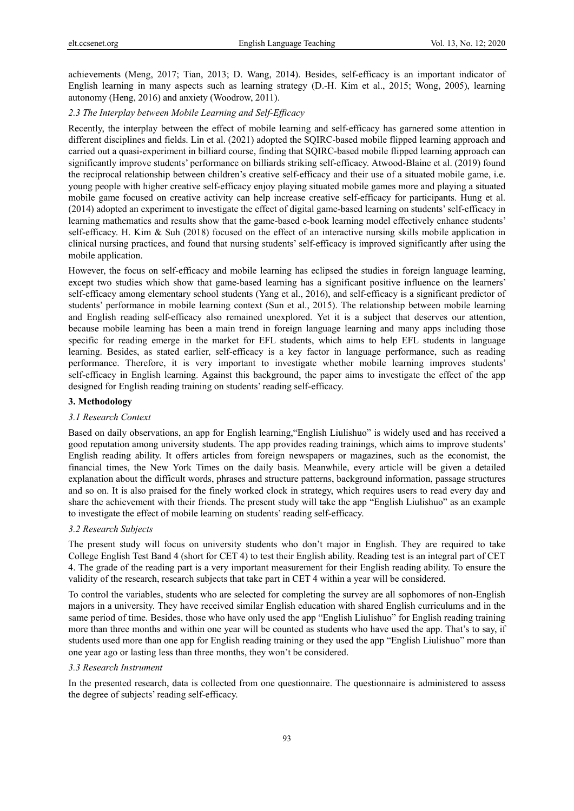achievements (Meng, 2017; Tian, 2013; D. Wang, 2014). Besides, self-efficacy is an important indicator of English learning in many aspects such as learning strategy (D.-H. Kim et al., 2015; Wong, 2005), learning autonomy (Heng, 2016) and anxiety (Woodrow, 2011).

### *2.3 The Interplay between Mobile Learning and Self-Efficacy*

Recently, the interplay between the effect of mobile learning and self-efficacy has garnered some attention in different disciplines and fields. Lin et al. (2021) adopted the SQIRC-based mobile flipped learning approach and carried out a quasi-experiment in billiard course, finding that SQIRC-based mobile flipped learning approach can significantly improve students' performance on billiards striking self-efficacy. Atwood-Blaine et al. (2019) found the reciprocal relationship between children's creative self-efficacy and their use of a situated mobile game, i.e. young people with higher creative self-efficacy enjoy playing situated mobile games more and playing a situated mobile game focused on creative activity can help increase creative self-efficacy for participants. Hung et al. (2014) adopted an experiment to investigate the effect of digital game-based learning on students' self-efficacy in learning mathematics and results show that the game-based e-book learning model effectively enhance students' self-efficacy. H. Kim & Suh (2018) focused on the effect of an interactive nursing skills mobile application in clinical nursing practices, and found that nursing students' self-efficacy is improved significantly after using the mobile application.

However, the focus on self-efficacy and mobile learning has eclipsed the studies in foreign language learning, except two studies which show that game-based learning has a significant positive influence on the learners' self-efficacy among elementary school students (Yang et al., 2016), and self-efficacy is a significant predictor of students' performance in mobile learning context (Sun et al., 2015). The relationship between mobile learning and English reading self-efficacy also remained unexplored. Yet it is a subject that deserves our attention, because mobile learning has been a main trend in foreign language learning and many apps including those specific for reading emerge in the market for EFL students, which aims to help EFL students in language learning. Besides, as stated earlier, self-efficacy is a key factor in language performance, such as reading performance. Therefore, it is very important to investigate whether mobile learning improves students' self-efficacy in English learning. Against this background, the paper aims to investigate the effect of the app designed for English reading training on students' reading self-efficacy.

#### **3. Methodology**

#### *3.1 Research Context*

Based on daily observations, an app for English learning,"English Liulishuo" is widely used and has received a good reputation among university students. The app provides reading trainings, which aims to improve students' English reading ability. It offers articles from foreign newspapers or magazines, such as the economist, the financial times, the New York Times on the daily basis. Meanwhile, every article will be given a detailed explanation about the difficult words, phrases and structure patterns, background information, passage structures and so on. It is also praised for the finely worked clock in strategy, which requires users to read every day and share the achievement with their friends. The present study will take the app "English Liulishuo" as an example to investigate the effect of mobile learning on students' reading self-efficacy.

#### *3.2 Research Subjects*

The present study will focus on university students who don't major in English. They are required to take College English Test Band 4 (short for CET 4) to test their English ability. Reading test is an integral part of CET 4. The grade of the reading part is a very important measurement for their English reading ability. To ensure the validity of the research, research subjects that take part in CET 4 within a year will be considered.

To control the variables, students who are selected for completing the survey are all sophomores of non-English majors in a university. They have received similar English education with shared English curriculums and in the same period of time. Besides, those who have only used the app "English Liulishuo" for English reading training more than three months and within one year will be counted as students who have used the app. That's to say, if students used more than one app for English reading training or they used the app "English Liulishuo" more than one year ago or lasting less than three months, they won't be considered.

### *3.3 Research Instrument*

In the presented research, data is collected from one questionnaire. The questionnaire is administered to assess the degree of subjects' reading self-efficacy.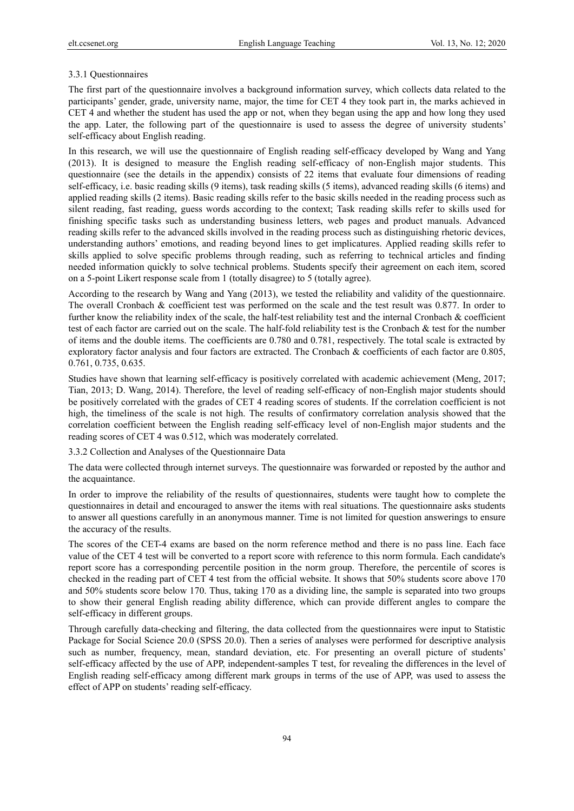#### 3.3.1 Questionnaires

The first part of the questionnaire involves a background information survey, which collects data related to the participants' gender, grade, university name, major, the time for CET 4 they took part in, the marks achieved in CET 4 and whether the student has used the app or not, when they began using the app and how long they used the app. Later, the following part of the questionnaire is used to assess the degree of university students' self-efficacy about English reading.

In this research, we will use the questionnaire of English reading self-efficacy developed by Wang and Yang (2013). It is designed to measure the English reading self-efficacy of non-English major students. This questionnaire (see the details in the appendix) consists of 22 items that evaluate four dimensions of reading self-efficacy, i.e. basic reading skills (9 items), task reading skills (5 items), advanced reading skills (6 items) and applied reading skills (2 items). Basic reading skills refer to the basic skills needed in the reading process such as silent reading, fast reading, guess words according to the context; Task reading skills refer to skills used for finishing specific tasks such as understanding business letters, web pages and product manuals. Advanced reading skills refer to the advanced skills involved in the reading process such as distinguishing rhetoric devices, understanding authors' emotions, and reading beyond lines to get implicatures. Applied reading skills refer to skills applied to solve specific problems through reading, such as referring to technical articles and finding needed information quickly to solve technical problems. Students specify their agreement on each item, scored on a 5-point Likert response scale from 1 (totally disagree) to 5 (totally agree).

According to the research by Wang and Yang (2013), we tested the reliability and validity of the questionnaire. The overall Cronbach & coefficient test was performed on the scale and the test result was 0.877. In order to further know the reliability index of the scale, the half-test reliability test and the internal Cronbach & coefficient test of each factor are carried out on the scale. The half-fold reliability test is the Cronbach & test for the number of items and the double items. The coefficients are 0.780 and 0.781, respectively. The total scale is extracted by exploratory factor analysis and four factors are extracted. The Cronbach & coefficients of each factor are 0.805, 0.761, 0.735, 0.635.

Studies have shown that learning self-efficacy is positively correlated with academic achievement (Meng, 2017; Tian, 2013; D. Wang, 2014). Therefore, the level of reading self-efficacy of non-English major students should be positively correlated with the grades of CET 4 reading scores of students. If the correlation coefficient is not high, the timeliness of the scale is not high. The results of confirmatory correlation analysis showed that the correlation coefficient between the English reading self-efficacy level of non-English major students and the reading scores of CET 4 was 0.512, which was moderately correlated.

3.3.2 Collection and Analyses of the Questionnaire Data

The data were collected through internet surveys. The questionnaire was forwarded or reposted by the author and the acquaintance.

In order to improve the reliability of the results of questionnaires, students were taught how to complete the questionnaires in detail and encouraged to answer the items with real situations. The questionnaire asks students to answer all questions carefully in an anonymous manner. Time is not limited for question answerings to ensure the accuracy of the results.

The scores of the CET-4 exams are based on the norm reference method and there is no pass line. Each face value of the CET 4 test will be converted to a report score with reference to this norm formula. Each candidate's report score has a corresponding percentile position in the norm group. Therefore, the percentile of scores is checked in the reading part of CET 4 test from the official website. It shows that 50% students score above 170 and 50% students score below 170. Thus, taking 170 as a dividing line, the sample is separated into two groups to show their general English reading ability difference, which can provide different angles to compare the self-efficacy in different groups.

Through carefully data-checking and filtering, the data collected from the questionnaires were input to Statistic Package for Social Science 20.0 (SPSS 20.0). Then a series of analyses were performed for descriptive analysis such as number, frequency, mean, standard deviation, etc. For presenting an overall picture of students' self-efficacy affected by the use of APP, independent-samples T test, for revealing the differences in the level of English reading self-efficacy among different mark groups in terms of the use of APP, was used to assess the effect of APP on students' reading self-efficacy.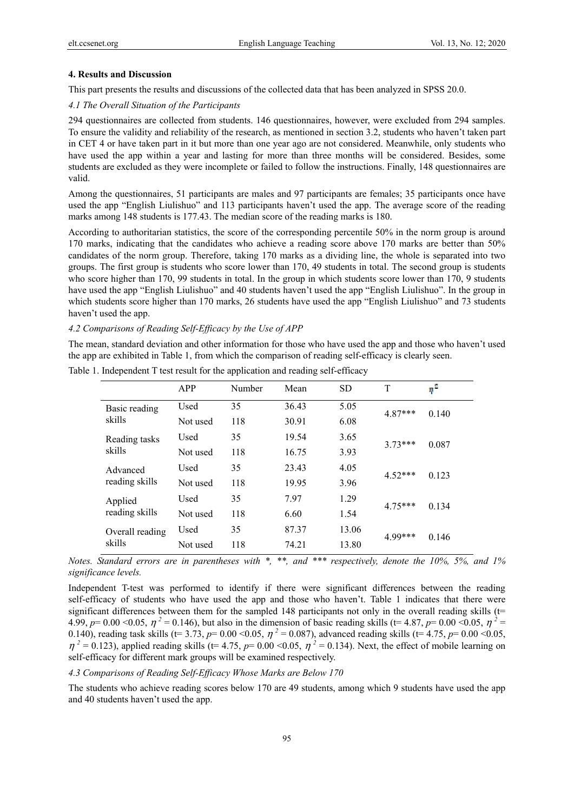#### **4. Results and Discussion**

This part presents the results and discussions of the collected data that has been analyzed in SPSS 20.0.

#### *4.1 The Overall Situation of the Participants*

294 questionnaires are collected from students. 146 questionnaires, however, were excluded from 294 samples. To ensure the validity and reliability of the research, as mentioned in section 3.2, students who haven't taken part in CET 4 or have taken part in it but more than one year ago are not considered. Meanwhile, only students who have used the app within a year and lasting for more than three months will be considered. Besides, some students are excluded as they were incomplete or failed to follow the instructions. Finally, 148 questionnaires are valid.

Among the questionnaires, 51 participants are males and 97 participants are females; 35 participants once have used the app "English Liulishuo" and 113 participants haven't used the app. The average score of the reading marks among 148 students is 177.43. The median score of the reading marks is 180.

According to authoritarian statistics, the score of the corresponding percentile 50% in the norm group is around 170 marks, indicating that the candidates who achieve a reading score above 170 marks are better than 50% candidates of the norm group. Therefore, taking 170 marks as a dividing line, the whole is separated into two groups. The first group is students who score lower than 170, 49 students in total. The second group is students who score higher than 170, 99 students in total. In the group in which students score lower than 170, 9 students have used the app "English Liulishuo" and 40 students haven't used the app "English Liulishuo". In the group in which students score higher than 170 marks, 26 students have used the app "English Liulishuo" and 73 students haven't used the app.

#### *4.2 Comparisons of Reading Self-Efficacy by the Use of APP*

The mean, standard deviation and other information for those who have used the app and those who haven't used the app are exhibited in Table 1, from which the comparison of reading self-efficacy is clearly seen.

| APP      | Number | Mean  | <b>SD</b> | T         | $\eta^2$ |
|----------|--------|-------|-----------|-----------|----------|
| Used     | 35     | 36.43 | 5.05      | $4.87***$ | 0.140    |
| Not used | 118    | 30.91 | 6.08      |           |          |
| Used     | 35     | 19.54 | 3.65      | $3.73***$ | 0.087    |
| Not used | 118    | 16.75 | 3.93      |           |          |
| Used     | 35     | 23.43 | 4.05      | $4.52***$ | 0.123    |
| Not used | 118    | 19.95 | 3.96      |           |          |
| Used     | 35     | 7.97  | 1.29      | $4.75***$ | 0.134    |
| Not used | 118    | 6.60  | 1.54      |           |          |
| Used     | 35     | 87.37 | 13.06     | 4.99***   | 0.146    |
| Not used | 118    | 74.21 | 13.80     |           |          |
|          |        |       |           |           |          |

Table 1. Independent T test result for the application and reading self-efficacy

*Notes. Standard errors are in parentheses with \*, \*\*, and \*\*\* respectively, denote the 10%, 5%, and 1% significance levels.*

Independent T-test was performed to identify if there were significant differences between the reading self-efficacy of students who have used the app and those who haven't. Table 1 indicates that there were significant differences between them for the sampled 148 participants not only in the overall reading skills (t= 4.99,  $p=0.00$  <0.05,  $\eta^2 = 0.146$ ), but also in the dimension of basic reading skills (t= 4.87,  $p=0.00$  <0.05,  $\eta^2 =$ 0.140), reading task skills (t= 3.73,  $p=0.00$  < 0.05,  $\eta^2 = 0.087$ ), advanced reading skills (t= 4.75,  $p=0.00$  < 0.05,  $\eta^2$  = 0.123), applied reading skills (t= 4.75,  $p$ = 0.00 < 0.05,  $\eta^2$  = 0.134). Next, the effect of mobile learning on self-efficacy for different mark groups will be examined respectively.

#### *4.3 Comparisons of Reading Self-Efficacy Whose Marks are Below 170*

The students who achieve reading scores below 170 are 49 students, among which 9 students have used the app and 40 students haven't used the app.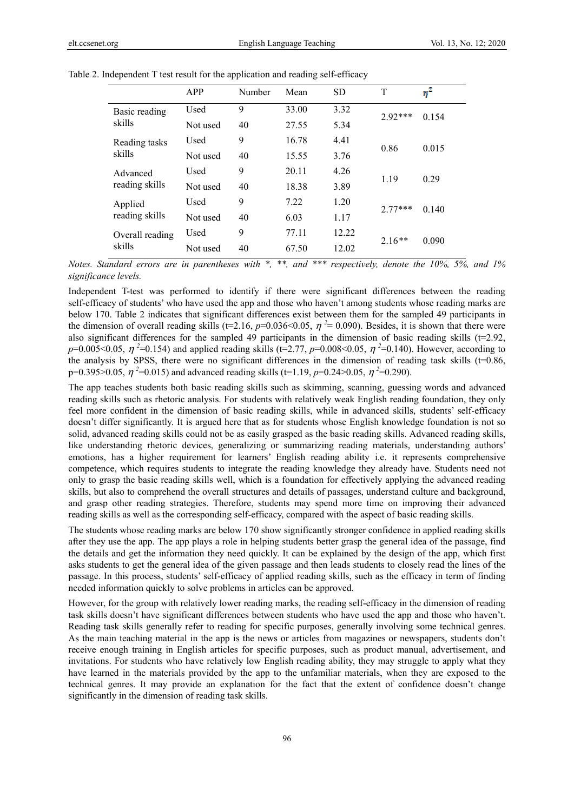|                            | APP      | Number | Mean  | <b>SD</b> | T         | $\eta^z$ |
|----------------------------|----------|--------|-------|-----------|-----------|----------|
| Basic reading<br>skills    | Used     | 9      | 33.00 | 3.32      | $2.92***$ | 0.154    |
|                            | Not used | 40     | 27.55 | 5.34      |           |          |
| Reading tasks<br>skills    | Used     | 9      | 16.78 | 4.41      | 0.86      | 0.015    |
|                            | Not used | 40     | 15.55 | 3.76      |           |          |
| Advanced<br>reading skills | Used     | 9      | 20.11 | 4.26      | 1.19      | 0.29     |
|                            | Not used | 40     | 18.38 | 3.89      |           |          |
| Applied<br>reading skills  | Used     | 9      | 7.22  | 1.20      | $2.77***$ | 0.140    |
|                            | Not used | 40     | 6.03  | 1.17      |           |          |
| Overall reading<br>skills  | Used     | 9      | 77.11 | 12.22     |           | 0.090    |
|                            | Not used | 40     | 67.50 | 12.02     | $2.16**$  |          |

Table 2. Independent T test result for the application and reading self-efficacy

*Notes. Standard errors are in parentheses with \*, \*\*, and \*\*\* respectively, denote the 10%, 5%, and 1% significance levels.*

Independent T-test was performed to identify if there were significant differences between the reading self-efficacy of students' who have used the app and those who haven't among students whose reading marks are below 170. Table 2 indicates that significant differences exist between them for the sampled 49 participants in the dimension of overall reading skills ( $t=2.16$ ,  $p=0.036<0.05$ ,  $\eta^2=0.090$ ). Besides, it is shown that there were also significant differences for the sampled 49 participants in the dimension of basic reading skills ( $t=2.92$ , *p*=0.005<0.05,  $\eta$ <sup>2</sup>=0.154) and applied reading skills (t=2.77, *p*=0.008<0.05,  $\eta$ <sup>2</sup>=0.140). However, according to the analysis by SPSS, there were no significant differences in the dimension of reading task skills  $(t=0.86, t=0.86)$ p=0.395>0.05,  $\eta$ <sup>2</sup>=0.015) and advanced reading skills (t=1.19, p=0.24>0.05,  $\eta$ <sup>2</sup>=0.290).

The app teaches students both basic reading skills such as skimming, scanning, guessing words and advanced reading skills such as rhetoric analysis. For students with relatively weak English reading foundation, they only feel more confident in the dimension of basic reading skills, while in advanced skills, students' self-efficacy doesn't differ significantly. It is argued here that as for students whose English knowledge foundation is not so solid, advanced reading skills could not be as easily grasped as the basic reading skills. Advanced reading skills, like understanding rhetoric devices, generalizing or summarizing reading materials, understanding authors' emotions, has a higher requirement for learners' English reading ability i.e. it represents comprehensive competence, which requires students to integrate the reading knowledge they already have. Students need not only to grasp the basic reading skills well, which is a foundation for effectively applying the advanced reading skills, but also to comprehend the overall structures and details of passages, understand culture and background, and grasp other reading strategies. Therefore, students may spend more time on improving their advanced reading skills as well as the corresponding self-efficacy, compared with the aspect of basic reading skills.

The students whose reading marks are below 170 show significantly stronger confidence in applied reading skills after they use the app. The app plays a role in helping students better grasp the general idea of the passage, find the details and get the information they need quickly. It can be explained by the design of the app, which first asks students to get the general idea of the given passage and then leads students to closely read the lines of the passage. In this process, students' self-efficacy of applied reading skills, such as the efficacy in term of finding needed information quickly to solve problems in articles can be approved.

However, for the group with relatively lower reading marks, the reading self-efficacy in the dimension of reading task skills doesn't have significant differences between students who have used the app and those who haven't. Reading task skills generally refer to reading for specific purposes, generally involving some technical genres. As the main teaching material in the app is the news or articles from magazines or newspapers, students don't receive enough training in English articles for specific purposes, such as product manual, advertisement, and invitations. For students who have relatively low English reading ability, they may struggle to apply what they have learned in the materials provided by the app to the unfamiliar materials, when they are exposed to the technical genres. It may provide an explanation for the fact that the extent of confidence doesn't change significantly in the dimension of reading task skills.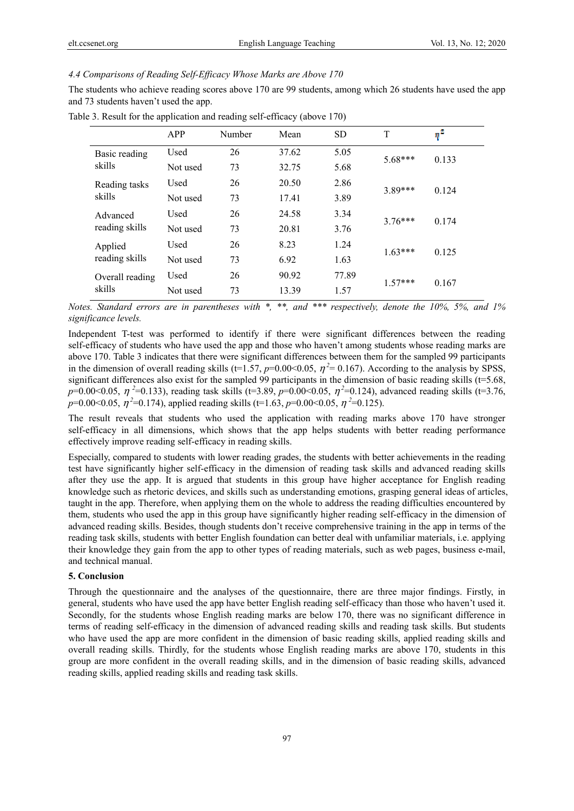# *4.4 Comparisons of Reading Self-Efficacy Whose Marks are Above 170*

The students who achieve reading scores above 170 are 99 students, among which 26 students have used the app and 73 students haven't used the app.

|                            | APP      | Number | Mean  | <b>SD</b> | T         | $\eta^2$ |
|----------------------------|----------|--------|-------|-----------|-----------|----------|
| Basic reading<br>skills    | Used     | 26     | 37.62 | 5.05      | $5.68***$ | 0.133    |
|                            | Not used | 73     | 32.75 | 5.68      |           |          |
| Reading tasks<br>skills    | Used     | 26     | 20.50 | 2.86      | 3.89***   | 0.124    |
|                            | Not used | 73     | 17.41 | 3.89      |           |          |
| Advanced<br>reading skills | Used     | 26     | 24.58 | 3.34      | $3.76***$ | 0.174    |
|                            | Not used | 73     | 20.81 | 3.76      |           |          |
| Applied<br>reading skills  | Used     | 26     | 8.23  | 1.24      | $1.63***$ | 0.125    |
|                            | Not used | 73     | 6.92  | 1.63      |           |          |
| Overall reading<br>skills  | Used     | 26     | 90.92 | 77.89     |           | 0.167    |
|                            | Not used | 73     | 13.39 | 1.57      | $1.57***$ |          |

Table 3. Result for the application and reading self-efficacy (above 170)

*Notes. Standard errors are in parentheses with \*, \*\*, and \*\*\* respectively, denote the 10%, 5%, and 1% significance levels.*

Independent T-test was performed to identify if there were significant differences between the reading self-efficacy of students who have used the app and those who haven't among students whose reading marks are above 170. Table 3 indicates that there were significant differences between them for the sampled 99 participants in the dimension of overall reading skills (t=1.57,  $p=0.00<0.05$ ,  $\eta^2=0.167$ ). According to the analysis by SPSS, significant differences also exist for the sampled 99 participants in the dimension of basic reading skills (t=5.68, *p*=0.00<0.05, <sup>η</sup> *<sup>2</sup>* =0.133), reading task skills (t=3.89, *p*=0.00<0.05, η*<sup>2</sup>*=0.124), advanced reading skills (t=3.76,  $p=0.00<0.05$ ,  $\eta^2=0.174$ ), applied reading skills (t=1.63,  $p=0.00<0.05$ ,  $\eta^2=0.125$ ).

The result reveals that students who used the application with reading marks above 170 have stronger self-efficacy in all dimensions, which shows that the app helps students with better reading performance effectively improve reading self-efficacy in reading skills.

Especially, compared to students with lower reading grades, the students with better achievements in the reading test have significantly higher self-efficacy in the dimension of reading task skills and advanced reading skills after they use the app. It is argued that students in this group have higher acceptance for English reading knowledge such as rhetoric devices, and skills such as understanding emotions, grasping general ideas of articles, taught in the app. Therefore, when applying them on the whole to address the reading difficulties encountered by them, students who used the app in this group have significantly higher reading self-efficacy in the dimension of advanced reading skills. Besides, though students don't receive comprehensive training in the app in terms of the reading task skills, students with better English foundation can better deal with unfamiliar materials, i.e. applying their knowledge they gain from the app to other types of reading materials, such as web pages, business e-mail, and technical manual.

# **5. Conclusion**

Through the questionnaire and the analyses of the questionnaire, there are three major findings. Firstly, in general, students who have used the app have better English reading self-efficacy than those who haven't used it. Secondly, for the students whose English reading marks are below 170, there was no significant difference in terms of reading self-efficacy in the dimension of advanced reading skills and reading task skills. But students who have used the app are more confident in the dimension of basic reading skills, applied reading skills and overall reading skills. Thirdly, for the students whose English reading marks are above 170, students in this group are more confident in the overall reading skills, and in the dimension of basic reading skills, advanced reading skills, applied reading skills and reading task skills.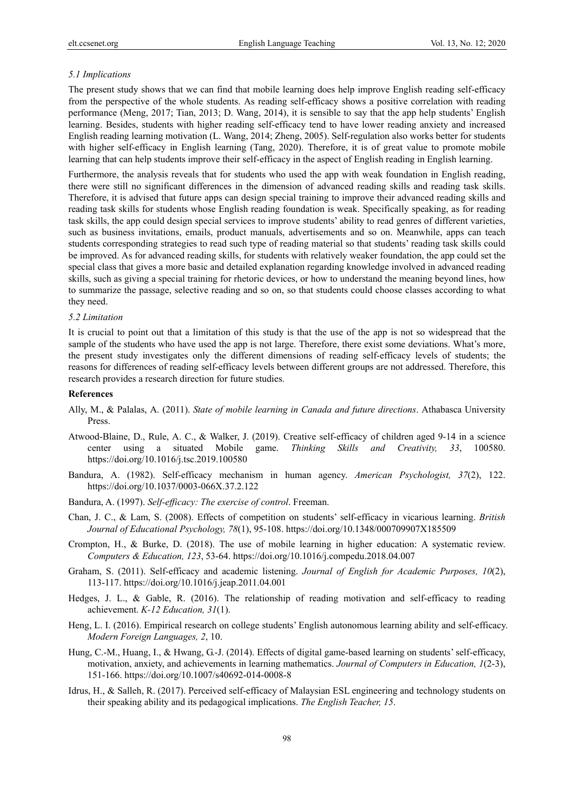#### *5.1 Implications*

The present study shows that we can find that mobile learning does help improve English reading self-efficacy from the perspective of the whole students. As reading self-efficacy shows a positive correlation with reading performance (Meng, 2017; Tian, 2013; D. Wang, 2014), it is sensible to say that the app help students' English learning. Besides, students with higher reading self-efficacy tend to have lower reading anxiety and increased English reading learning motivation (L. Wang, 2014; Zheng, 2005). Self-regulation also works better for students with higher self-efficacy in English learning (Tang, 2020). Therefore, it is of great value to promote mobile learning that can help students improve their self-efficacy in the aspect of English reading in English learning.

Furthermore, the analysis reveals that for students who used the app with weak foundation in English reading, there were still no significant differences in the dimension of advanced reading skills and reading task skills. Therefore, it is advised that future apps can design special training to improve their advanced reading skills and reading task skills for students whose English reading foundation is weak. Specifically speaking, as for reading task skills, the app could design special services to improve students' ability to read genres of different varieties, such as business invitations, emails, product manuals, advertisements and so on. Meanwhile, apps can teach students corresponding strategies to read such type of reading material so that students' reading task skills could be improved. As for advanced reading skills, for students with relatively weaker foundation, the app could set the special class that gives a more basic and detailed explanation regarding knowledge involved in advanced reading skills, such as giving a special training for rhetoric devices, or how to understand the meaning beyond lines, how to summarize the passage, selective reading and so on, so that students could choose classes according to what they need.

#### *5.2 Limitation*

It is crucial to point out that a limitation of this study is that the use of the app is not so widespread that the sample of the students who have used the app is not large. Therefore, there exist some deviations. What's more, the present study investigates only the different dimensions of reading self-efficacy levels of students; the reasons for differences of reading self-efficacy levels between different groups are not addressed. Therefore, this research provides a research direction for future studies.

#### **References**

- Ally, M., & Palalas, A. (2011). *State of mobile learning in Canada and future directions*. Athabasca University Press.
- Atwood-Blaine, D., Rule, A. C., & Walker, J. (2019). Creative self-efficacy of children aged 9-14 in a science center using a situated Mobile game. *Thinking Skills and Creativity, 33*, 100580. https://doi.org/10.1016/j.tsc.2019.100580
- Bandura, A. (1982). Self-efficacy mechanism in human agency. *American Psychologist, 37*(2), 122. https://doi.org/10.1037/0003-066X.37.2.122
- Bandura, A. (1997). *Self-efficacy: The exercise of control*. Freeman.
- Chan, J. C., & Lam, S. (2008). Effects of competition on students' self‐efficacy in vicarious learning. *British Journal of Educational Psychology, 78*(1), 95-108. https://doi.org/10.1348/000709907X185509
- Crompton, H., & Burke, D. (2018). The use of mobile learning in higher education: A systematic review. *Computers & Education, 123*, 53-64. https://doi.org/10.1016/j.compedu.2018.04.007
- Graham, S. (2011). Self-efficacy and academic listening. *Journal of English for Academic Purposes, 10*(2), 113-117. https://doi.org/10.1016/j.jeap.2011.04.001
- Hedges, J. L., & Gable, R. (2016). The relationship of reading motivation and self-efficacy to reading achievement. *K-12 Education, 31*(1).
- Heng, L. I. (2016). Empirical research on college students' English autonomous learning ability and self-efficacy. *Modern Foreign Languages, 2*, 10.
- Hung, C.-M., Huang, I., & Hwang, G.-J. (2014). Effects of digital game-based learning on students' self-efficacy, motivation, anxiety, and achievements in learning mathematics. *Journal of Computers in Education, 1*(2-3), 151-166. https://doi.org/10.1007/s40692-014-0008-8
- Idrus, H., & Salleh, R. (2017). Perceived self-efficacy of Malaysian ESL engineering and technology students on their speaking ability and its pedagogical implications. *The English Teacher, 15*.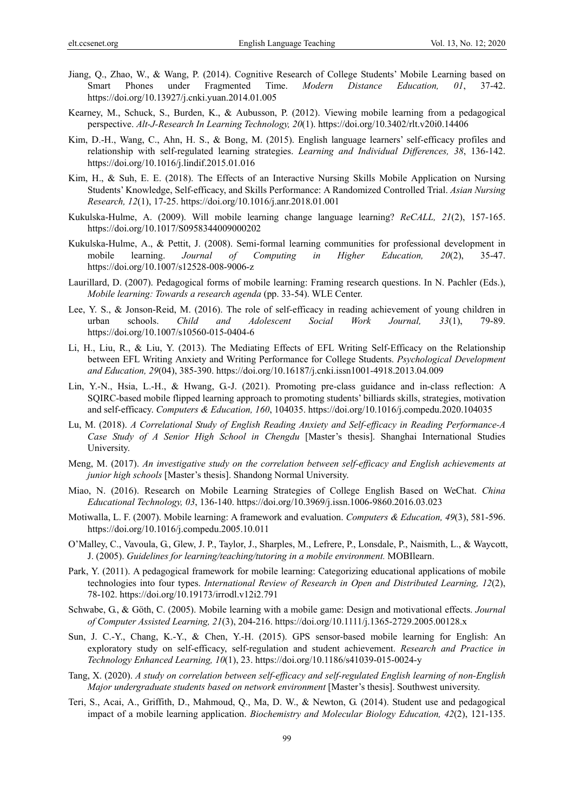- Jiang, Q., Zhao, W., & Wang, P. (2014). Cognitive Research of College Students' Mobile Learning based on Smart Phones under Fragmented Time. *Modern Distance Education, 01*, 37-42. https://doi.org/10.13927/j.cnki.yuan.2014.01.005
- Kearney, M., Schuck, S., Burden, K., & Aubusson, P. (2012). Viewing mobile learning from a pedagogical perspective. *Alt-J-Research In Learning Technology, 20*(1). https://doi.org/10.3402/rlt.v20i0.14406
- Kim, D.-H., Wang, C., Ahn, H. S., & Bong, M. (2015). English language learners' self-efficacy profiles and relationship with self-regulated learning strategies. *Learning and Individual Differences, 38*, 136-142. https://doi.org/10.1016/j.lindif.2015.01.016
- Kim, H., & Suh, E. E. (2018). The Effects of an Interactive Nursing Skills Mobile Application on Nursing Students' Knowledge, Self-efficacy, and Skills Performance: A Randomized Controlled Trial. *Asian Nursing Research, 12*(1), 17-25. https://doi.org/10.1016/j.anr.2018.01.001
- Kukulska-Hulme, A. (2009). Will mobile learning change language learning? *ReCALL, 21*(2), 157-165. https://doi.org/10.1017/S0958344009000202
- Kukulska-Hulme, A., & Pettit, J. (2008). Semi-formal learning communities for professional development in mobile learning. *Journal of Computing in Higher Education, 20*(2), 35-47. https://doi.org/10.1007/s12528-008-9006-z
- Laurillard, D. (2007). Pedagogical forms of mobile learning: Framing research questions. In N. Pachler (Eds.), *Mobile learning: Towards a research agenda* (pp. 33-54). WLE Center.
- Lee, Y. S., & Jonson-Reid, M. (2016). The role of self-efficacy in reading achievement of young children in urban schools. *Child and Adolescent Social Work Journal, 33*(1), 79-89. https://doi.org/10.1007/s10560-015-0404-6
- Li, H., Liu, R., & Liu, Y. (2013). The Mediating Effects of EFL Writing Self-Efficacy on the Relationship between EFL Writing Anxiety and Writing Performance for College Students. *Psychological Development and Education, 29*(04), 385-390. https://doi.org/10.16187/j.cnki.issn1001-4918.2013.04.009
- Lin, Y.-N., Hsia, L.-H., & Hwang, G.-J. (2021). Promoting pre-class guidance and in-class reflection: A SQIRC-based mobile flipped learning approach to promoting students' billiards skills, strategies, motivation and self-efficacy. *Computers & Education, 160*, 104035. https://doi.org/10.1016/j.compedu.2020.104035
- Lu, M. (2018). *A Correlational Study of English Reading Anxiety and Self-efficacy in Reading Performance-A Case Study of A Senior High School in Chengdu* [Master's thesis]. Shanghai International Studies University.
- Meng, M. (2017). *An investigative study on the correlation between self-efficacy and English achievements at junior high schools* [Master's thesis]. Shandong Normal University.
- Miao, N. (2016). Research on Mobile Learning Strategies of College English Based on WeChat. *China Educational Technology, 03*, 136-140. https://doi.org/10.3969/j.issn.1006-9860.2016.03.023
- Motiwalla, L. F. (2007). Mobile learning: A framework and evaluation. *Computers & Education, 49*(3), 581-596. https://doi.org/10.1016/j.compedu.2005.10.011
- O'Malley, C., Vavoula, G., Glew, J. P., Taylor, J., Sharples, M., Lefrere, P., Lonsdale, P., Naismith, L., & Waycott, J. (2005). *Guidelines for learning/teaching/tutoring in a mobile environment.* MOBIlearn.
- Park, Y. (2011). A pedagogical framework for mobile learning: Categorizing educational applications of mobile technologies into four types. *International Review of Research in Open and Distributed Learning, 12*(2), 78-102. https://doi.org/10.19173/irrodl.v12i2.791
- Schwabe, G., & Göth, C. (2005). Mobile learning with a mobile game: Design and motivational effects. *Journal of Computer Assisted Learning, 21*(3), 204-216. https://doi.org/10.1111/j.1365-2729.2005.00128.x
- Sun, J. C.-Y., Chang, K.-Y., & Chen, Y.-H. (2015). GPS sensor-based mobile learning for English: An exploratory study on self-efficacy, self-regulation and student achievement. *Research and Practice in Technology Enhanced Learning, 10*(1), 23. https://doi.org/10.1186/s41039-015-0024-y
- Tang, X. (2020). *A study on correlation between self-efficacy and self-regulated English learning of non-English Major undergraduate students based on network environment* [Master's thesis]. Southwest university.
- Teri, S., Acai, A., Griffith, D., Mahmoud, Q., Ma, D. W., & Newton, G. (2014). Student use and pedagogical impact of a mobile learning application. *Biochemistry and Molecular Biology Education, 42*(2), 121-135.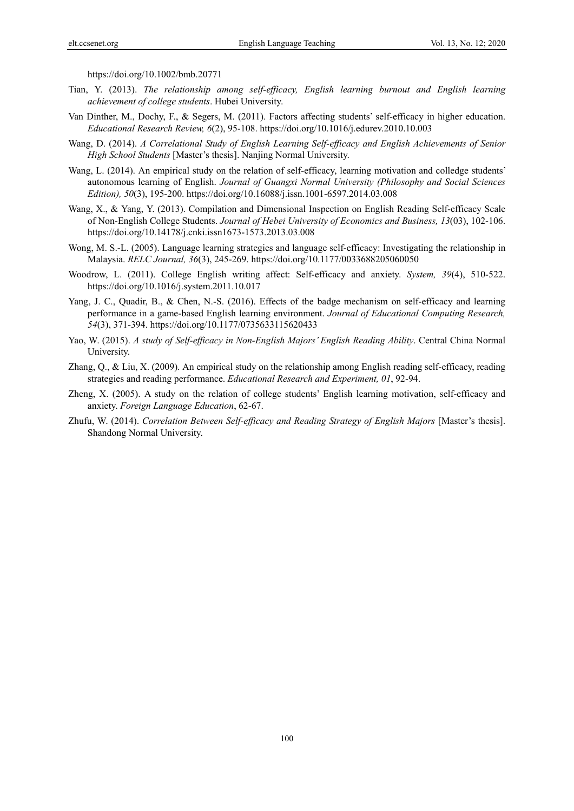https://doi.org/10.1002/bmb.20771

- Tian, Y. (2013). *The relationship among self-efficacy, English learning burnout and English learning achievement of college students*. Hubei University.
- Van Dinther, M., Dochy, F., & Segers, M. (2011). Factors affecting students' self-efficacy in higher education. *Educational Research Review, 6*(2), 95-108. https://doi.org/10.1016/j.edurev.2010.10.003
- Wang, D. (2014). *A Correlational Study of English Learning Self-efficacy and English Achievements of Senior High School Students* [Master's thesis]. Nanjing Normal University.
- Wang, L. (2014). An empirical study on the relation of self-efficacy, learning motivation and colledge students' autonomous learning of English. *Journal of Guangxi Normal University (Philosophy and Social Sciences Edition), 50*(3), 195-200. https://doi.org/10.16088/j.issn.1001-6597.2014.03.008
- Wang, X., & Yang, Y. (2013). Compilation and Dimensional Inspection on English Reading Self-efficacy Scale of Non-English College Students. *Journal of Hebei University of Economics and Business, 13*(03), 102-106. https://doi.org/10.14178/j.cnki.issn1673-1573.2013.03.008
- Wong, M. S.-L. (2005). Language learning strategies and language self-efficacy: Investigating the relationship in Malaysia. *RELC Journal, 36*(3), 245-269. https://doi.org/10.1177/0033688205060050
- Woodrow, L. (2011). College English writing affect: Self-efficacy and anxiety. *System, 39*(4), 510-522. https://doi.org/10.1016/j.system.2011.10.017
- Yang, J. C., Quadir, B., & Chen, N.-S. (2016). Effects of the badge mechanism on self-efficacy and learning performance in a game-based English learning environment. *Journal of Educational Computing Research, 54*(3), 371-394. https://doi.org/10.1177/0735633115620433
- Yao, W. (2015). *A study of Self-efficacy in Non-English Majors' English Reading Ability*. Central China Normal University.
- Zhang, Q., & Liu, X. (2009). An empirical study on the relationship among English reading self-efficacy, reading strategies and reading performance. *Educational Research and Experiment, 01*, 92-94.
- Zheng, X. (2005). A study on the relation of college students' English learning motivation, self-efficacy and anxiety. *Foreign Language Education*, 62-67.
- Zhufu, W. (2014). *Correlation Between Self-efficacy and Reading Strategy of English Majors* [Master's thesis]. Shandong Normal University.